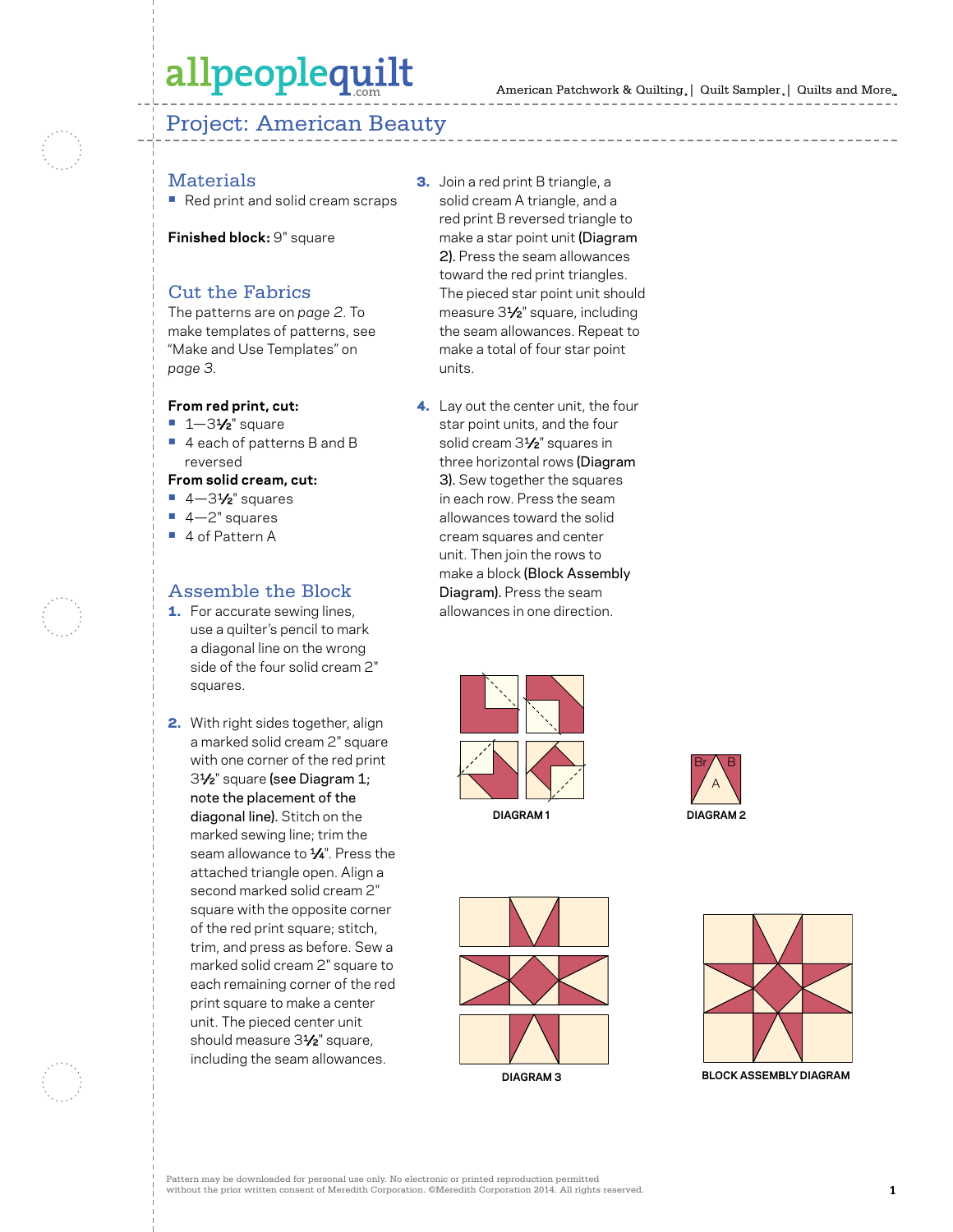# allpeoplequilt

## Project: American Beauty

## **Materials**

**•** Red print and solid cream scraps

**Finished block:** 9" square

### Cut the Fabrics

The patterns are on *page 2*. To make templates of patterns, see "Make and Use Templates" on *page 3*.

#### **From red print, cut:**

- **•** 1—31⁄2" square
- **•** 4 each of patterns B and B reversed

#### **From solid cream, cut:**

- 4-31⁄<sub>2</sub>" squares
- **•** 4—2" squares
- **•** 4 of Pattern A

### Assemble the Block

- **1.** For accurate sewing lines, use a quilter's pencil to mark a diagonal line on the wrong side of the four solid cream 2" squares.
- 2. With right sides together, align a marked solid cream 2" square with one corner of the red print 31⁄2" square (see Diagram 1; note the placement of the diagonal line). Stitch on the marked sewing line; trim the seam allowance to  $\frac{1}{4}$ ". Press the attached triangle open. Align a second marked solid cream 2" square with the opposite corner of the red print square; stitch, trim, and press as before. Sew a marked solid cream 2" square to each remaining corner of the red print square to make a center unit. The pieced center unit should measure 31/<sub>2</sub>" square, including the seam allowances.

3. Join a red print B triangle, a solid cream A triangle, and a red print B reversed triangle to make a star point unit (Diagram 2). Press the seam allowances toward the red print triangles. The pieced star point unit should measure 31⁄2" square, including the seam allowances. Repeat to make a total of four star point units.

4. Lay out the center unit, the four star point units, and the four solid cream 31/<sub>2</sub>" squares in three horizontal rows (Diagram 3). Sew together the squares in each row. Press the seam allowances toward the solid cream squares and center unit. Then join the rows to make a block (Block Assembly Diagram). Press the seam allowances in one direction.









**block assembly diagram**

Pattern may be downloaded for personal use only. No electronic or printed reproduction permitted without the prior written consent of Meredith Corporation. ©Meredith Corporation 2014. All rights reserved. **1**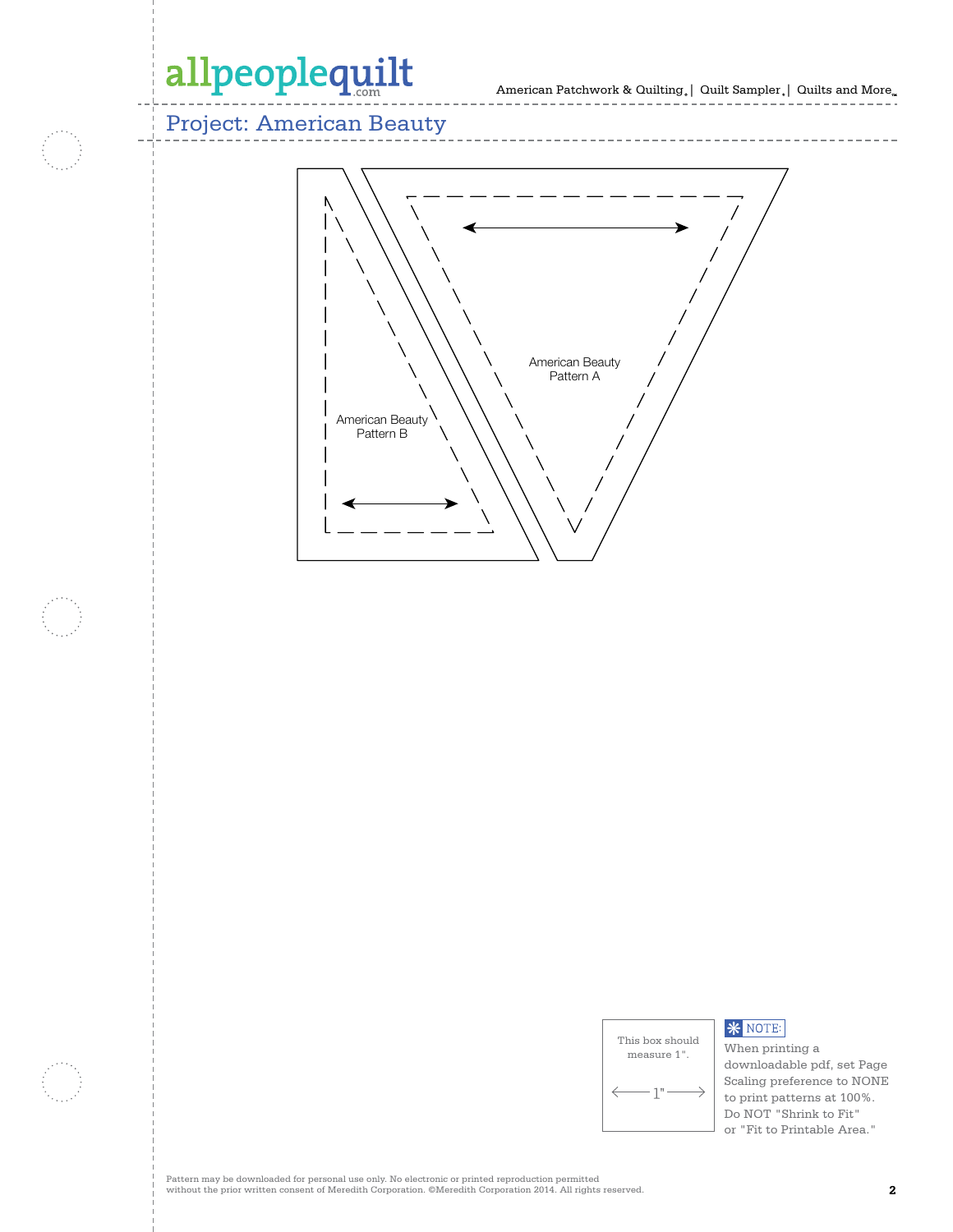# allpeoplequilt

Project: American Beauty



| This box should<br>measure 1". |  |
|--------------------------------|--|
| п                              |  |

### **\*** NOTE:

When printing a downloadable pdf, set Page Scaling preference to NONE to print patterns at 100%. Do NOT "Shrink to Fit" or "Fit to Printable Area."